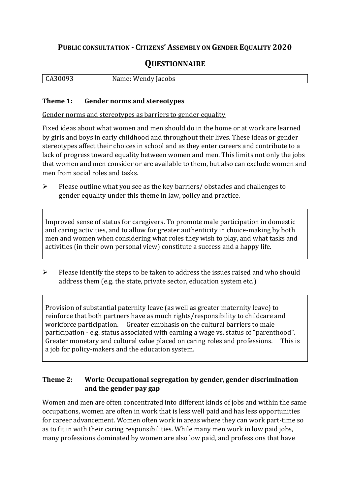## **PUBLIC CONSULTATION - CITIZENS' ASSEMBLY ON GENDER EQUALITY 2020**

# **QUESTIONNAIRE**

| cobs<br>wenny<br>u |
|--------------------|
|--------------------|

#### **Theme 1: Gender norms and stereotypes**

Gender norms and stereotypes as barriers to gender equality

Fixed ideas about what women and men should do in the home or at work are learned by girls and boys in early childhood and throughout their lives. These ideas or gender stereotypes affect their choices in school and as they enter careers and contribute to a lack of progress toward equality between women and men. This limits not only the jobs that women and men consider or are available to them, but also can exclude women and men from social roles and tasks.

➢ Please outline what you see as the key barriers/ obstacles and challenges to gender equality under this theme in law, policy and practice.

Improved sense of status for caregivers. To promote male participation in domestic and caring activities, and to allow for greater authenticity in choice-making by both men and women when considering what roles they wish to play, and what tasks and activities (in their own personal view) constitute a success and a happy life.

➢ Please identify the steps to be taken to address the issues raised and who should address them (e.g. the state, private sector, education system etc.)

Provision of substantial paternity leave (as well as greater maternity leave) to reinforce that both partners have as much rights/responsibility to childcare and workforce participation. Greater emphasis on the cultural barriers to male participation - e.g. status associated with earning a wage vs. status of "parenthood". Greater monetary and cultural value placed on caring roles and professions. This is a job for policy-makers and the education system.

#### **Theme 2: Work: Occupational segregation by gender, gender discrimination and the gender pay gap**

Women and men are often concentrated into different kinds of jobs and within the same occupations, women are often in work that is less well paid and has less opportunities for career advancement. Women often work in areas where they can work part-time so as to fit in with their caring responsibilities. While many men work in low paid jobs, many professions dominated by women are also low paid, and professions that have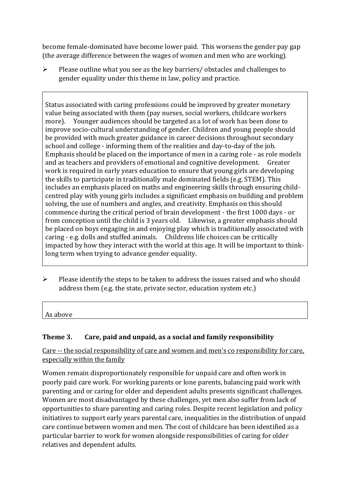become female-dominated have become lower paid. This worsens the gender pay gap (the average difference between the wages of women and men who are working).

➢ Please outline what you see as the key barriers/ obstacles and challenges to gender equality under this theme in law, policy and practice.

Status associated with caring professions could be improved by greater monetary value being associated with them (pay nurses, social workers, childcare workers more). Younger audiences should be targeted as a lot of work has been done to improve socio-cultural understanding of gender. Children and young people should be provided with much greater guidance in career decisions throughout secondary school and college - informing them of the realities and day-to-day of the job. Emphasis should be placed on the importance of men in a caring role - as role models and as teachers and providers of emotional and cognitive development. Greater work is required in early years education to ensure that young girls are developing the skills to participate in traditionally male dominated fields (e.g. STEM). This includes an emphasis placed on maths and engineering skills through ensuring childcentred play with young girls includes a significant emphasis on building and problem solving, the use of numbers and angles, and creativity. Emphasis on this should commence during the critical period of brain development - the first 1000 days - or from conception until the child is 3 years old. Likewise, a greater emphasis should be placed on boys engaging in and enjoying play which is traditionally associated with caring - e.g. dolls and stuffed animals. Childrens life choices can be critically impacted by how they interact with the world at this age. It will be important to thinklong term when trying to advance gender equality.

➢ Please identify the steps to be taken to address the issues raised and who should address them (e.g. the state, private sector, education system etc.)

As above

### **Theme 3. Care, paid and unpaid, as a social and family responsibility**

Care -- the social responsibility of care and women and men's co responsibility for care, especially within the family

Women remain disproportionately responsible for unpaid care and often work in poorly paid care work. For working parents or [lone parents,](https://aran.library.nuigalway.ie/bitstream/handle/10379/6044/Millar_and_Crosse_Activation_Report.pdf?sequence=1&isAllowed=y) balancing paid work with parenting and or caring for older and dependent adults presents significant challenges. Women are [most disadvantaged by these challenges,](https://eige.europa.eu/gender-equality-index/game/IE/W) yet men also suffer from lack of opportunities to share parenting and caring roles. Despite recent legislation and policy initiatives to support early years parental care, [inequalities in the distribution of unpaid](https://www.ihrec.ie/app/uploads/2019/07/Caring-and-Unpaid-Work-in-Ireland_Final.pdf)  [care](https://www.ihrec.ie/app/uploads/2019/07/Caring-and-Unpaid-Work-in-Ireland_Final.pdf) continue between women and men. The cost of childcare has been identified as a particular barrier to work for women alongside responsibilities of caring for older relatives and dependent adults.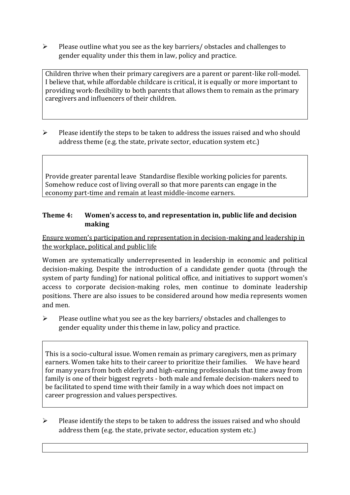➢ Please outline what you see as the key barriers/ obstacles and challenges to gender equality under this them in law, policy and practice.

Children thrive when their primary caregivers are a parent or parent-like roll-model. I believe that, while affordable childcare is critical, it is equally or more important to providing work-flexibility to both parents that allows them to remain as the primary caregivers and influencers of their children.

 $\triangleright$  Please identify the steps to be taken to address the issues raised and who should address theme (e.g. the state, private sector, education system etc.)

Provide greater parental leave Standardise flexible working policies for parents. Somehow reduce cost of living overall so that more parents can engage in the economy part-time and remain at least middle-income earners.

#### **Theme 4: Women's access to, and representation in, public life and decision making**

Ensure women's participation and representation in decision-making and leadership in the workplace, political and public life

Women are systematically underrepresented in leadership in [economic](https://eige.europa.eu/gender-equality-index/2019/compare-countries/power/2/bar) and [political](https://eige.europa.eu/gender-equality-index/2019/compare-countries/power/1/bar)  [decision-](https://eige.europa.eu/gender-equality-index/2019/compare-countries/power/1/bar)making. Despite the introduction of a candidate gender quota (through the system of party funding) for national political office, and [initiatives](https://betterbalance.ie/) to support women's access to corporate decision-making roles, men continue to dominate leadership positions. There are also issues to be considered around how media represents women and men.

 $\triangleright$  Please outline what you see as the key barriers/ obstacles and challenges to gender equality under this theme in law, policy and practice.

This is a socio-cultural issue. Women remain as primary caregivers, men as primary earners. Women take hits to their career to prioritize their families. We have heard for many years from both elderly and high-earning professionals that time away from family is one of their biggest regrets - both male and female decision-makers need to be facilitated to spend time with their family in a way which does not impact on career progression and values perspectives.

➢ Please identify the steps to be taken to address the issues raised and who should address them (e.g. the state, private sector, education system etc.)